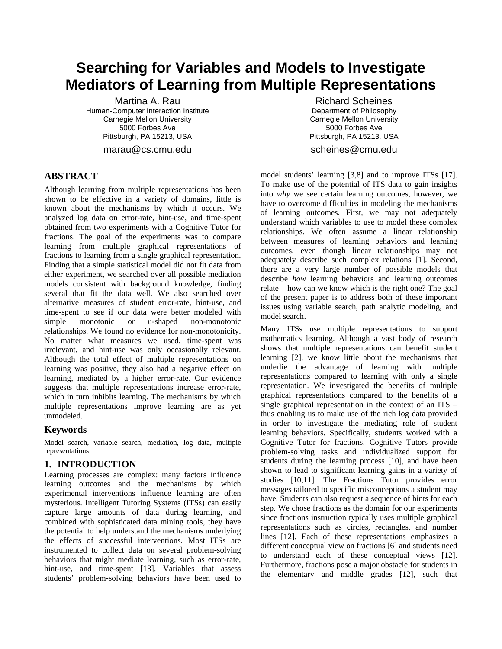# **Searching for Variables and Models to Investigate Mediators of Learning from Multiple Representations**

Martina A. Rau Human-Computer Interaction Institute Carnegie Mellon University 5000 Forbes Ave Pittsburgh, PA 15213, USA

marau@cs.cmu.edu

## **ABSTRACT**

Although learning from multiple representations has been shown to be effective in a variety of domains, little is known about the mechanisms by which it occurs. We analyzed log data on error-rate, hint-use, and time-spent obtained from two experiments with a Cognitive Tutor for fractions. The goal of the experiments was to compare learning from multiple graphical representations of fractions to learning from a single graphical representation. Finding that a simple statistical model did not fit data from either experiment, we searched over all possible mediation models consistent with background knowledge, finding several that fit the data well. We also searched over alternative measures of student error-rate, hint-use, and time-spent to see if our data were better modeled with simple monotonic or u-shaped non-monotonic relationships. We found no evidence for non-monotonicity. No matter what measures we used, time-spent was irrelevant, and hint-use was only occasionally relevant. Although the total effect of multiple representations on learning was positive, they also had a negative effect on learning, mediated by a higher error-rate. Our evidence suggests that multiple representations increase error-rate, which in turn inhibits learning. The mechanisms by which multiple representations improve learning are as yet unmodeled.

# **Keywords**

Model search, variable search, mediation, log data, multiple representations

# **1. INTRODUCTION**

<span id="page-0-0"></span>Learning processes are complex: many factors influence learning outcomes and the mechanisms by which experimental interventions influence learning are often mysterious. Intelligent Tutoring Systems (ITSs) can easily capture large amounts of data during learning, and combined with sophisticated data mining tools, they have the potential to help understand the mechanisms underlying the effects of successful interventions. Most ITSs are instrumented to collect data on several problem-solving behaviors that might mediate learning, such as error-rate, hint-use, and time-spent [13]. Variables that assess students' problem-solving behaviors have been used to

Richard Scheines Department of Philosophy Carnegie Mellon University 5000 Forbes Ave Pittsburgh, PA 15213, USA

scheines@cmu.edu

model students' learning [3,8] and to improve ITSs [17]. To make use of the potential of ITS data to gain insights into *why* we see certain learning outcomes, however, we have to overcome difficulties in modeling the mechanisms of learning outcomes. First, we may not adequately understand which variables to use to model these complex relationships. We often assume a linear relationship between measures of learning behaviors and learning outcomes, even though linear relationships may not adequately describe such complex relations [1]. Second, there are a very large number of possible models that describe *how* learning behaviors and learning outcomes relate – how can we know which is the right one? The goal of the present paper is to address both of these important issues using variable search, path analytic modeling, and model search.

Many ITSs use multiple representations to support mathematics learning. Although a vast body of research shows that multiple representations can benefit student learning [2], we know little about the mechanisms that underlie the advantage of learning with multiple representations compared to learning with only a single representation. We investigated the benefits of multiple graphical representations compared to the benefits of a single graphical representation in the context of an ITS – thus enabling us to make use of the rich log data provided in order to investigate the mediating role of student learning behaviors. Specifically, students worked with a Cognitive Tutor for fractions. Cognitive Tutors provide problem-solving tasks and individualized support for students during the learning process [10], and have been shown to lead to significant learning gains in a variety of studies [10,11]. The Fractions Tutor provides error messages tailored to specific misconceptions a student may have. Students can also request a sequence of hints for each step. We chose fractions as the domain for our experiments since fractions instruction typically uses multiple graphical representations such as circles, rectangles, and number lines [12]. Each of these representations emphasizes a different conceptual view on fractions [6] and students need to understand each of these conceptual views [12]. Furthermore, fractions pose a major obstacle for students in the elementary and middle grades [12], such that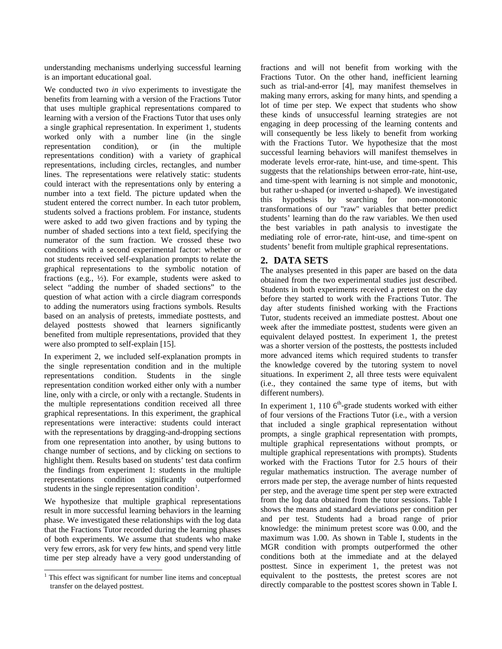understanding mechanisms underlying successful learning is an important educational goal.

We conducted two *in vivo* experiments to investigate the benefits from learning with a version of the Fractions Tutor that uses multiple graphical representations compared to learning with a version of the Fractions Tutor that uses only a single graphical representation. In experiment 1, students worked only with a number line (in the single representation condition), or (in the multiple representations condition) with a variety of graphical representations, including circles, rectangles, and number lines. The representations were relatively static: students could interact with the representations only by entering a number into a text field. The picture updated when the student entered the correct number. In each tutor problem, students solved a fractions problem. For instance, students were asked to add two given fractions and by typing the number of shaded sections into a text field, specifying the numerator of the sum fraction. We crossed these two conditions with a second experimental factor: whether or not students received self-explanation prompts to relate the graphical representations to the symbolic notation of fractions (e.g.,  $\frac{1}{2}$ ). For example, students were asked to select "adding the number of shaded sections" to the question of what action with a circle diagram corresponds to adding the numerators using fractions symbols. Results based on an analysis of pretests, immediate posttests, and delayed posttests showed that learners significantly benefited from multiple representations, provided that they were also prompted to self-explain [15].

In experiment 2, we included self-explanation prompts in the single representation condition and in the multiple representations condition. Students in the single representation condition worked either only with a number line, only with a circle, or only with a rectangle. Students in the multiple representations condition received all three graphical representations. In this experiment, the graphical representations were interactive: students could interact with the representations by dragging-and-dropping sections from one representation into another, by using buttons to change number of sections, and by clicking on sections to highlight them. Results based on students' test data confirm the findings from experiment 1: students in the multiple representations condition significantly outperformed students in the single representation condition<sup>[1](#page-0-0)</sup>.

<span id="page-1-0"></span>We hypothesize that multiple graphical representations result in more successful learning behaviors in the learning phase. We investigated these relationships with the log data that the Fractions Tutor recorded during the learning phases of both experiments. We assume that students who make very few errors, ask for very few hints, and spend very little time per step already have a very good understanding of

fractions and will not benefit from working with the Fractions Tutor. On the other hand, inefficient learning such as trial-and-error [4], may manifest themselves in making many errors, asking for many hints, and spending a lot of time per step. We expect that students who show these kinds of unsuccessful learning strategies are not engaging in deep processing of the learning contents and will consequently be less likely to benefit from working with the Fractions Tutor. We hypothesize that the most successful learning behaviors will manifest themselves in moderate levels error-rate, hint-use, and time-spent. This suggests that the relationships between error-rate, hint-use, and time-spent with learning is not simple and monotonic, but rather u-shaped (or inverted u-shaped). We investigated this hypothesis by searching for non-monotonic transformations of our "raw" variables that better predict students' learning than do the raw variables. We then used the best variables in path analysis to investigate the mediating role of error-rate, hint-use, and time-spent on students' benefit from multiple graphical representations.

## **2. DATA SETS**

The analyses presented in this paper are based on the data obtained from the two experimental studies just described. Students in both experiments received a pretest on the day before they started to work with the Fractions Tutor. The day after students finished working with the Fractions Tutor, students received an immediate posttest. About one week after the immediate posttest, students were given an equivalent delayed posttest. In experiment 1, the pretest was a shorter version of the posttests, the posttests included more advanced items which required students to transfer the knowledge covered by the tutoring system to novel situations. In experiment 2, all three tests were equivalent (i.e., they contained the same type of items, but with different numbers).

In experiment 1, 110  $6<sup>th</sup>$ -grade students worked with either of four versions of the Fractions Tutor (i.e., with a version that included a single graphical representation without prompts, a single graphical representation with prompts, multiple graphical representations without prompts, or multiple graphical representations with prompts). Students worked with the Fractions Tutor for 2.5 hours of their regular mathematics instruction. The average number of errors made per step, the average number of hints requested per step, and the average time spent per step were extracted from the log data obtained from the tutor sessions. Table I shows the means and standard deviations per condition per and per test. Students had a broad range of prior knowledge: the minimum pretest score was 0.00, and the maximum was 1.00. As shown in Table I, students in the MGR condition with prompts outperformed the other conditions both at the immediate and at the delayed posttest. Since in experiment 1, the pretest was not equivalent to the posttests, the pretest scores are not directly comparable to the posttest scores shown in Table I.

 $1$  This effect was significant for number line items and conceptual transfer on the delayed posttest.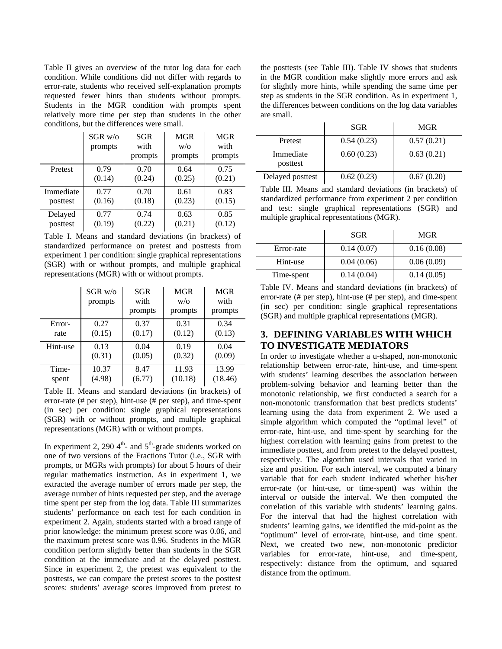Table II gives an overview of the tutor log data for each condition. While conditions did not differ with regards to error-rate, students who received self-explanation prompts requested fewer hints than students without prompts. Students in the MGR condition with prompts spent relatively more time per step than students in the other conditions, but the differences were small.

|           | $SGR$ w/o<br>prompts | SGR<br>with<br>prompts | <b>MGR</b><br>W/O<br>prompts | MGR<br>with<br>prompts |
|-----------|----------------------|------------------------|------------------------------|------------------------|
| Pretest   | 0.79                 | 0.70                   | 0.64                         | 0.75                   |
|           | (0.14)               | (0.24)                 | (0.25)                       | (0.21)                 |
| Immediate | 0.77                 | 0.70                   | 0.61                         | 0.83                   |
| posttest  | (0.16)               | (0.18)                 | (0.23)                       | (0.15)                 |
| Delayed   | 0.77                 | 0.74                   | 0.63                         | 0.85                   |
| posttest  | (0.19)               | (0.22)                 | (0.21)                       | (0.12)                 |

Table I. Means and standard deviations (in brackets) of standardized performance on pretest and posttests from experiment 1 per condition: single graphical representations (SGR) with or without prompts, and multiple graphical representations (MGR) with or without prompts.

|          | $SGR$ w/o<br>prompts | SGR<br>with<br>prompts | MGR<br>W/O<br>prompts | MGR<br>with<br>prompts |
|----------|----------------------|------------------------|-----------------------|------------------------|
| Error-   | 0.27                 | 0.37                   | 0.31                  | 0.34                   |
| rate     | (0.15)               | (0.17)                 | (0.12)                | (0.13)                 |
| Hint-use | 0.13                 | 0.04                   | 0.19                  | 0.04                   |
|          | (0.31)               | (0.05)                 | (0.32)                | (0.09)                 |
| Time-    | 10.37                | 8.47                   | 11.93                 | 13.99                  |
| spent    | (4.98)               | (6.77)                 | (10.18)               | (18.46)                |

Table II. Means and standard deviations (in brackets) of error-rate (# per step), hint-use (# per step), and time-spent (in sec) per condition: single graphical representations (SGR) with or without prompts, and multiple graphical representations (MGR) with or without prompts.

In experiment 2, 290  $4^{\text{th}}$ - and  $5^{\text{th}}$ -grade students worked on one of two versions of the Fractions Tutor (i.e., SGR with prompts, or MGRs with prompts) for about 5 hours of their regular mathematics instruction. As in experiment 1, we extracted the average number of errors made per step, the average number of hints requested per step, and the average time spent per step from the log data. Table III summarizes students' performance on each test for each condition in experiment 2. Again, students started with a broad range of prior knowledge: the minimum pretest score was 0.06, and the maximum pretest score was 0.96. Students in the MGR condition perform slightly better than students in the SGR condition at the immediate and at the delayed posttest. Since in experiment 2, the pretest was equivalent to the posttests, we can compare the pretest scores to the posttest scores: students' average scores improved from pretest to the posttests (see Table III). Table IV shows that students in the MGR condition make slightly more errors and ask for slightly more hints, while spending the same time per step as students in the SGR condition. As in experiment 1, the differences between conditions on the log data variables are small.

|                       | <b>SGR</b> | MGR        |
|-----------------------|------------|------------|
| Pretest               | 0.54(0.23) | 0.57(0.21) |
| Immediate<br>posttest | 0.60(0.23) | 0.63(0.21) |
| Delayed posttest      | 0.62(0.23) | 0.67(0.20) |

Table III. Means and standard deviations (in brackets) of standardized performance from experiment 2 per condition and test: single graphical representations (SGR) and multiple graphical representations (MGR).

|            | <b>SGR</b> | MGR        |
|------------|------------|------------|
| Error-rate | 0.14(0.07) | 0.16(0.08) |
| Hint-use   | 0.04(0.06) | 0.06(0.09) |
| Time-spent | 0.14(0.04) | 0.14(0.05) |

Table IV. Means and standard deviations (in brackets) of error-rate (# per step), hint-use (# per step), and time-spent (in sec) per condition: single graphical representations (SGR) and multiple graphical representations (MGR).

# **3. DEFINING VARIABLES WITH WHICH TO INVESTIGATE MEDIATORS**

In order to investigate whether a u-shaped, non-monotonic relationship between error-rate, hint-use, and time-spent with students' learning describes the association between problem-solving behavior and learning better than the monotonic relationship, we first conducted a search for a non-monotonic transformation that best predicts students' learning using the data from experiment 2. We used a simple algorithm which computed the "optimal level" of error-rate, hint-use, and time-spent by searching for the highest correlation with learning gains from pretest to the immediate posttest, and from pretest to the delayed posttest, respectively. The algorithm used intervals that varied in size and position. For each interval, we computed a binary variable that for each student indicated whether his/her error-rate (or hint-use, or time-spent) was within the interval or outside the interval. We then computed the correlation of this variable with students' learning gains. For the interval that had the highest correlation with students' learning gains, we identified the mid-point as the "optimum" level of error-rate, hint-use, and time spent. Next, we created two new, non-monotonic predictor variables for error-rate, hint-use, and time-spent, respectively: distance from the optimum, and squared distance from the optimum.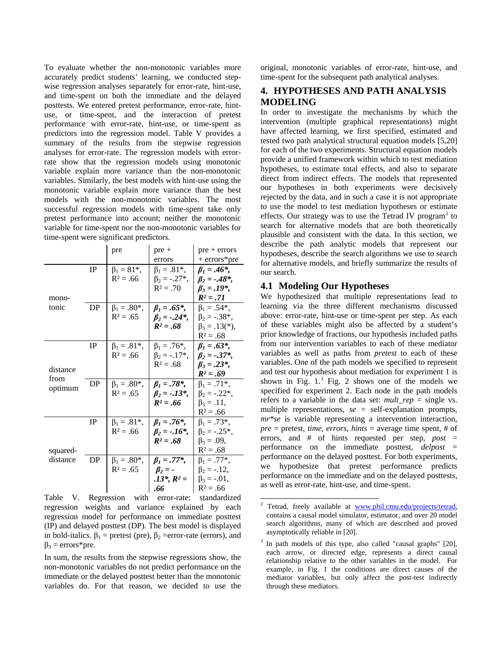To evaluate whether the non-monotonic variables more accurately predict students' learning, we conducted stepwise regression analyses separately for error-rate, hint-use, and time-spent on both the immediate and the delayed posttests. We entered pretest performance, error-rate, hintuse, or time-spent, and the interaction of pretest performance with error-rate, hint-use, or time-spent as predictors into the regression model. Table V provides a summary of the results from the stepwise regression analyses for error-rate. The regression models with errorrate show that the regression models using monotonic variable explain more variance than the non-monotonic variables. Similarly, the best models with hint-use using the monotonic variable explain more variance than the best models with the non-monotonic variables. The most successful regression models with time-spent take only pretest performance into account; neither the monotonic variable for time-spent nor the non-monotonic variables for time-spent were significant predictors.

|                                                 |              | pre                 | $pre +$              | $pre + errors$       |
|-------------------------------------------------|--------------|---------------------|----------------------|----------------------|
|                                                 |              |                     | errors               | + errors*pre         |
|                                                 | <b>IP</b>    | $\beta_1 = 81^*$ ,  | $\beta_1 = .81^*$ ,  | $\beta_1 = .46^*$ ,  |
|                                                 |              | $R^2 = .66$         | $\beta_2 = -.27^*$ , | $\beta_2 = -.48^*$ , |
|                                                 |              |                     | $R^2 = .70$          | $\beta_3 = .19^*$ ,  |
| mono-                                           |              |                     |                      | $R^2 = .71$          |
| tonic                                           | DP           | $\beta_1 = .80^*$ , | $\beta_1 = .65^*$ ,  | $\beta_1 = .54^*$ ,  |
|                                                 |              | $R^2 = .65$         | $\beta_2 = -.24^*$ , | $\beta_2 = -.38^*$ , |
|                                                 |              |                     | $R^2 = .68$          | $\beta_3 = .13(*)$ , |
|                                                 |              |                     |                      | $R^2 = .68$          |
|                                                 | $_{\rm IP}$  | $\beta_1 = .81^*$ , | $\beta_1 = .76^*$ ,  | $\beta_1 = .63^*$ ,  |
|                                                 |              | $R^2 = .66$         | $\beta_2 = -.17^*$ , | $\beta_2 = -.37^*$ , |
|                                                 |              |                     | $R^2 = .68$          | $\beta_3 = .23^*$ ,  |
| distance                                        |              |                     |                      | $R^2 = .69$          |
| from                                            | DP           | $\beta_1 = .80^*$ , | $\beta_1 = .78^*$ ,  | $\beta_1 = .71^*$ ,  |
| optimum                                         |              | $R^2 = .65$         | $\beta_2 = -.13^*$ , | $\beta_2 = -.22^*$   |
|                                                 |              |                     | $R^2 = .66$          | $\beta_3 = .11,$     |
|                                                 |              |                     |                      | $R^2 = .66$          |
|                                                 | <b>IP</b>    | $\beta_1 = .81^*$ , | $\beta_1 = .76^*$ ,  | $\beta_1 = .73^*$ ,  |
| squared-<br>distance                            |              | $R^2 = .66$         | $\beta_2 = -.16^*$ , | $\beta_2 = -.25^*$ , |
|                                                 |              |                     | $R^2 = .68$          | $\beta_3 = .09,$     |
|                                                 |              |                     |                      | $R^2 = .68$          |
|                                                 | DP           | $\beta_1 = .80^*$ , | $\beta_1 = .77*,$    | $\beta_1 = .77^*$ ,  |
|                                                 |              | $R^2 = .65$         | $\beta_2 = -$        | $\beta_2 = -.12,$    |
|                                                 |              |                     | $.13^*$ , $R^2$ =    | $\beta_3 = -.01$ ,   |
|                                                 |              |                     | .66                  | $R^2 = .66$          |
| $T_{\alpha}$ 1.1. $\lambda$ $\lambda$ $\lambda$ | $\mathbf{D}$ |                     |                      | المتحاف والمستحققة   |

<span id="page-3-1"></span><span id="page-3-0"></span>Table V. Regression with error-rate: standardized regression weights and variance explained by each regression model for performance on immediate posttest (IP) and delayed posttest (DP). The best model is displayed in bold-italics.  $\beta_1$  = pretest (pre),  $\beta_2$  = error-rate (errors), and  $\beta_3$  = errors\*pre.

In sum, the results from the stepwise regressions show, the non-monotonic variables do not predict performance on the immediate or the delayed posttest better than the monotonic variables do. For that reason, we decided to use the

original, monotonic variables of error-rate, hint-use, and time-spent for the subsequent path analytical analyses.

# **4. HYPOTHESES AND PATH ANALYSIS MODELING**

In order to investigate the mechanisms by which the intervention (multiple graphical representations) might have affected learning, we first specified, estimated and tested two path analytical structural equation models [5,20] for each of the two experiments. Structural equation models provide a unified framework within which to test mediation hypotheses, to estimate total effects, and also to separate direct from indirect effects. The models that represented our hypotheses in both experiments were decisively rejected by the data, and in such a case it is not appropriate to use the model to test mediation hypotheses or estimate effects. Our strategy was to use the Tetrad IV program<sup>[2](#page-1-0)</sup> to search for alternative models that are both theoretically plausible and consistent with the data. In this section, we describe the path analytic models that represent our hypotheses, describe the search algorithms we use to search for alternative models, and briefly summarize the results of our search.

### **4.1 Modeling Our Hypotheses**

We hypothesized that multiple representations lead to learning via the three different mechanisms discussed above: error-rate, hint-use or time-spent per step. As each of these variables might also be affected by a student's prior knowledge of fractions, our hypothesis included paths from our intervention variables to each of these mediator variables as well as paths from *pretest* to each of these variables. One of the path models we specified to represent and test our hypothesis about mediation for experiment 1 is shown in Fig.  $1<sup>3</sup>$  Fig. 2 shows one of the models we specified for experiment 2. Each node in the path models refers to a variable in the data set: *mult rep* = single vs. multiple representations, *se* = self-explanation prompts, *mr\*se* is variable representing a intervention interaction, *pre* = pretest, *time*, *errors*, *hints* = average time spent, # of errors, and # of hints requested per step, *post* = performance on the immediate posttest, *delpost* = performance on the delayed posttest. For both experiments, we hypothesize that pretest performance predicts performance on the immediate and on the delayed posttests, as well as error-rate, hint-use, and time-spent.

<sup>&</sup>lt;sup>2</sup> Tetrad, freely available at www.phil.cmu.edu/projects/tetrad, contains a causal model simulator, estimator, and over 20 model search algorithms, many of which are described and proved asymptotically reliable in [20].

In path models of this type, also called "causal graphs" [20], each arrow, or directed edge, represents a direct causal relationship relative to the other variables in the model. For example, in Fig. 1 the conditions are direct causes of the mediator variables, but only affect the post-test indirectly through these mediators.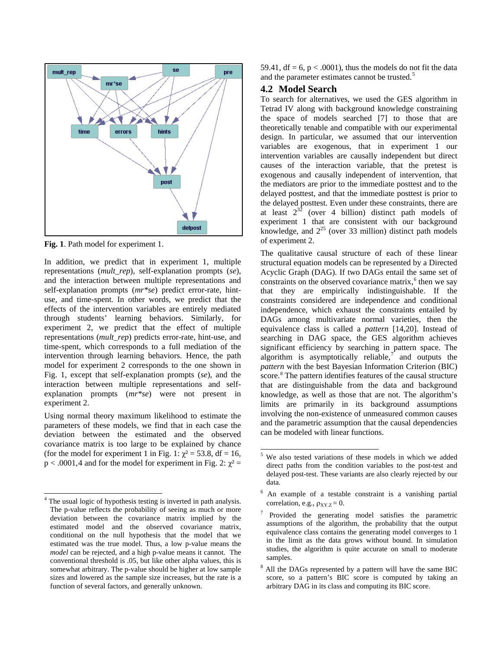

**Fig. 1**. Path model for experiment 1.

In addition, we predict that in experiment 1, multiple representations (*mult\_rep*), self-explanation prompts (*se*), and the interaction between multiple representations and self-explanation prompts (*mr\*se*) predict error-rate, hintuse, and time-spent. In other words, we predict that the effects of the intervention variables are entirely mediated through students' learning behaviors. Similarly, for experiment 2, we predict that the effect of multiple representations (*mult\_rep*) predicts error-rate, hint-use, and time-spent, which corresponds to a full mediation of the intervention through learning behaviors. Hence, the path model for experiment 2 corresponds to the one shown in Fig. 1, except that self-explanation prompts (*se*), and the interaction between multiple representations and selfexplanation prompts (*mr\*se*) were not present in experiment 2.

<span id="page-4-0"></span>Using normal theory maximum likelihood to estimate the parameters of these models, we find that in each case the deviation between the estimated and the observed covariance matrix is too large to be explained by chance (for the model for experiment 1 in Fig. 1:  $\chi^2 = 53.8$ , df = 16,  $p < .0001,4$  $p < .0001,4$  and for the model for experiment in Fig. 2:  $\chi^2 =$  59.41,  $df = 6$ ,  $p < .0001$ ), thus the models do not fit the data and the parameter estimates cannot be trusted.<sup>[5](#page-4-0)</sup>

#### **4.2 Model Search**

To search for alternatives, we used the GES algorithm in Tetrad IV along with background knowledge constraining the space of models searched [7] to those that are theoretically tenable and compatible with our experimental design. In particular, we assumed that our intervention variables are exogenous, that in experiment 1 our intervention variables are causally independent but direct causes of the interaction variable, that the pretest is exogenous and causally independent of intervention, that the mediators are prior to the immediate posttest and to the delayed posttest, and that the immediate posttest is prior to the delayed posttest. Even under these constraints, there are at least  $2^{32}$  (over 4 billion) distinct path models of experiment 1 that are consistent with our background knowledge, and  $2^{25}$  (over 33 million) distinct path models of experiment 2.

The qualitative causal structure of each of these linear structural equation models can be represented by a Directed Acyclic Graph (DAG). If two DAGs entail the same set of constraints on the observed covariance matrix,<sup>[6](#page-4-0)</sup> then we say that they are empirically indistinguishable. If the constraints considered are independence and conditional independence, which exhaust the constraints entailed by DAGs among multivariate normal varieties, then the equivalence class is called a *pattern* [14,20]. Instead of searching in DAG space, the GES algorithm achieves significant efficiency by searching in pattern space. The algorithm is asymptotically reliable,<sup>[7](#page-4-0)</sup> and outputs the *pattern* with the best Bayesian Information Criterion (BIC) score.<sup>[8](#page-4-0)</sup> The pattern identifies features of the causal structure that are distinguishable from the data and background knowledge, as well as those that are not. The algorithm's limits are primarily in its background assumptions involving the non-existence of unmeasured common causes and the parametric assumption that the causal dependencies can be modeled with linear functions.

<sup>8</sup> All the DAGs represented by a pattern will have the same BIC score, so a pattern's BIC score is computed by taking an arbitrary DAG in its class and computing its BIC score.

<span id="page-4-1"></span>The usual logic of hypothesis testing is inverted in path analysis. The p-value reflects the probability of seeing as much or more deviation between the covariance matrix implied by the estimated model and the observed covariance matrix, conditional on the null hypothesis that the model that we estimated was the true model. Thus, a low p-value means the *model* can be rejected, and a high p-value means it cannot. The conventional threshold is .05, but like other alpha values, this is somewhat arbitrary. The p-value should be higher at low sample sizes and lowered as the sample size increases, but the rate is a function of several factors, and generally unknown.

 <sup>5</sup> We also tested variations of these models in which we added direct paths from the condition variables to the post-test and delayed post-test. These variants are also clearly rejected by our data.

<sup>6</sup> An example of a testable constraint is a vanishing partial correlation, e.g.,  $\rho_{XY,Z} = 0$ .

<sup>7</sup> Provided the generating model satisfies the parametric assumptions of the algorithm, the probability that the output equivalence class contains the generating model converges to 1 in the limit as the data grows without bound. In simulation studies, the algorithm is quite accurate on small to moderate samples.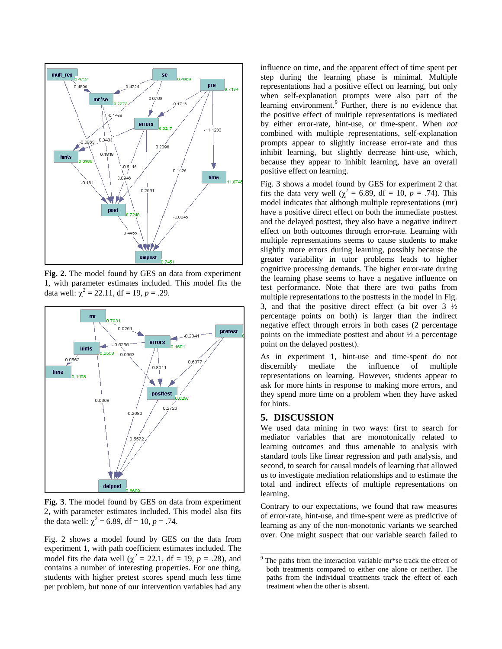

**Fig. 2**. The model found by GES on data from experiment 1, with parameter estimates included. This model fits the data well:  $\chi^2 = 22.11$ , df = 19, p = .29.



**Fig. 3**. The model found by GES on data from experiment 2, with parameter estimates included. This model also fits the data well:  $\chi^2 = 6.89$ , df = 10, p = .74.

<span id="page-5-0"></span>Fig. 2 shows a model found by GES on the data from experiment 1, with path coefficient estimates included. The model fits the data well ( $\chi^2 = 22.1$ , df = 19, *p* = .28), and contains a number of interesting properties. For one thing, students with higher pretest scores spend much less time per problem, but none of our intervention variables had any influence on time, and the apparent effect of time spent per step during the learning phase is minimal. Multiple representations had a positive effect on learning, but only when self-explanation prompts were also part of the learning environment.<sup>[9](#page-4-1)</sup> Further, there is no evidence that the positive effect of multiple representations is mediated by either error-rate, hint-use, or time-spent. When *not* combined with multiple representations, self-explanation prompts appear to slightly increase error-rate and thus inhibit learning, but slightly decrease hint-use, which, because they appear to inhibit learning, have an overall positive effect on learning.

Fig. 3 shows a model found by GES for experiment 2 that fits the data very well ( $\chi^2 = 6.89$ , df = 10,  $p = .74$ ). This model indicates that although multiple representations (*mr*) have a positive direct effect on both the immediate posttest and the delayed posttest, they also have a negative indirect effect on both outcomes through error-rate. Learning with multiple representations seems to cause students to make slightly more errors during learning, possibly because the greater variability in tutor problems leads to higher cognitive processing demands. The higher error-rate during the learning phase seems to have a negative influence on test performance. Note that there are two paths from multiple representations to the posttests in the model in Fig. 3, and that the positive direct effect (a bit over  $3\frac{1}{2}$ percentage points on both) is larger than the indirect negative effect through errors in both cases (2 percentage points on the immediate posttest and about ½ a percentage point on the delayed posttest).

As in experiment 1, hint-use and time-spent do not discernibly mediate the influence of multiple representations on learning. However, students appear to ask for more hints in response to making more errors, and they spend more time on a problem when they have asked for hints.

#### **5. DISCUSSION**

We used data mining in two ways: first to search for mediator variables that are monotonically related to learning outcomes and thus amenable to analysis with standard tools like linear regression and path analysis, and second, to search for causal models of learning that allowed us to investigate mediation relationships and to estimate the total and indirect effects of multiple representations on learning.

Contrary to our expectations, we found that raw measures of error-rate, hint-use, and time-spent were as predictive of learning as any of the non-monotonic variants we searched over. One might suspect that our variable search failed to

 <sup>9</sup> The paths from the interaction variable mr\*se track the effect of both treatments compared to either one alone or neither. The paths from the individual treatments track the effect of each treatment when the other is absent.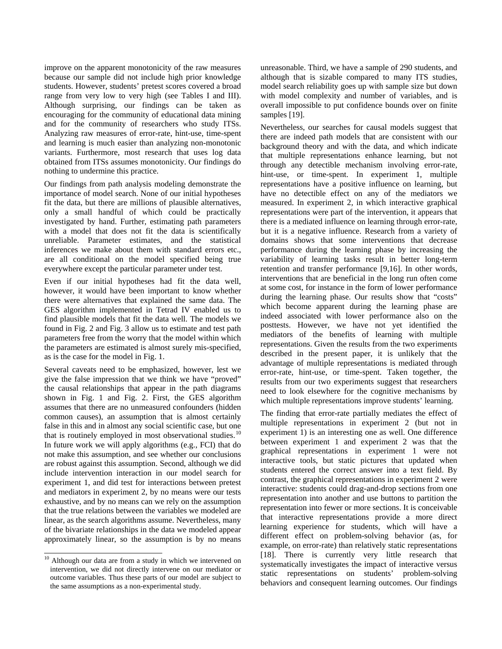improve on the apparent monotonicity of the raw measures because our sample did not include high prior knowledge students. However, students' pretest scores covered a broad range from very low to very high (see Tables I and III). Although surprising, our findings can be taken as encouraging for the community of educational data mining and for the community of researchers who study ITSs. Analyzing raw measures of error-rate, hint-use, time-spent and learning is much easier than analyzing non-monotonic variants. Furthermore, most research that uses log data obtained from ITSs assumes monotonicity. Our findings do nothing to undermine this practice.

Our findings from path analysis modeling demonstrate the importance of model search. None of our initial hypotheses fit the data, but there are millions of plausible alternatives, only a small handful of which could be practically investigated by hand. Further, estimating path parameters with a model that does not fit the data is scientifically unreliable. Parameter estimates, and the statistical inferences we make about them with standard errors etc., are all conditional on the model specified being true everywhere except the particular parameter under test.

Even if our initial hypotheses had fit the data well, however, it would have been important to know whether there were alternatives that explained the same data. The GES algorithm implemented in Tetrad IV enabled us to find plausible models that fit the data well. The models we found in Fig. 2 and Fig. 3 allow us to estimate and test path parameters free from the worry that the model within which the parameters are estimated is almost surely mis-specified, as is the case for the model in Fig. 1.

Several caveats need to be emphasized, however, lest we give the false impression that we think we have "proved" the causal relationships that appear in the path diagrams shown in Fig. 1 and Fig. 2. First, the GES algorithm assumes that there are no unmeasured confounders (hidden common causes), an assumption that is almost certainly false in this and in almost any social scientific case, but one that is routinely employed in most observational studies.<sup>[10](#page-5-0)</sup> In future work we will apply algorithms (e.g., FCI) that do not make this assumption, and see whether our conclusions are robust against this assumption. Second, although we did include intervention interaction in our model search for experiment 1, and did test for interactions between pretest and mediators in experiment 2, by no means were our tests exhaustive, and by no means can we rely on the assumption that the true relations between the variables we modeled are linear, as the search algorithms assume. Nevertheless, many of the bivariate relationships in the data we modeled appear approximately linear, so the assumption is by no means

<sup>10</sup> Although our data are from a study in which we intervened on intervention, we did not directly intervene on our mediator or outcome variables. Thus these parts of our model are subject to the same assumptions as a non-experimental study.

unreasonable. Third, we have a sample of 290 students, and although that is sizable compared to many ITS studies, model search reliability goes up with sample size but down with model complexity and number of variables, and is overall impossible to put confidence bounds over on finite samples [19].

Nevertheless, our searches for causal models suggest that there are indeed path models that are consistent with our background theory and with the data, and which indicate that multiple representations enhance learning, but not through any detectible mechanism involving error-rate, hint-use, or time-spent. In experiment 1, multiple representations have a positive influence on learning, but have no detectible effect on any of the mediators we measured. In experiment 2, in which interactive graphical representations were part of the intervention, it appears that there is a mediated influence on learning through error-rate, but it is a negative influence. Research from a variety of domains shows that some interventions that decrease performance during the learning phase by increasing the variability of learning tasks result in better long-term retention and transfer performance [9,16]. In other words, interventions that are beneficial in the long run often come at some cost, for instance in the form of lower performance during the learning phase. Our results show that "costs" which become apparent during the learning phase are indeed associated with lower performance also on the posttests. However, we have not yet identified the mediators of the benefits of learning with multiple representations. Given the results from the two experiments described in the present paper, it is unlikely that the advantage of multiple representations is mediated through error-rate, hint-use, or time-spent. Taken together, the results from our two experiments suggest that researchers need to look elsewhere for the cognitive mechanisms by which multiple representations improve students' learning.

The finding that error-rate partially mediates the effect of multiple representations in experiment 2 (but not in experiment 1) is an interesting one as well. One difference between experiment 1 and experiment 2 was that the graphical representations in experiment 1 were not interactive tools, but static pictures that updated when students entered the correct answer into a text field. By contrast, the graphical representations in experiment 2 were interactive: students could drag-and-drop sections from one representation into another and use buttons to partition the representation into fewer or more sections. It is conceivable that interactive representations provide a more direct learning experience for students, which will have a different effect on problem-solving behavior (as, for example, on error-rate) than relatively static representations [18]. There is currently very little research that systematically investigates the impact of interactive versus static representations on students' problem-solving behaviors and consequent learning outcomes. Our findings